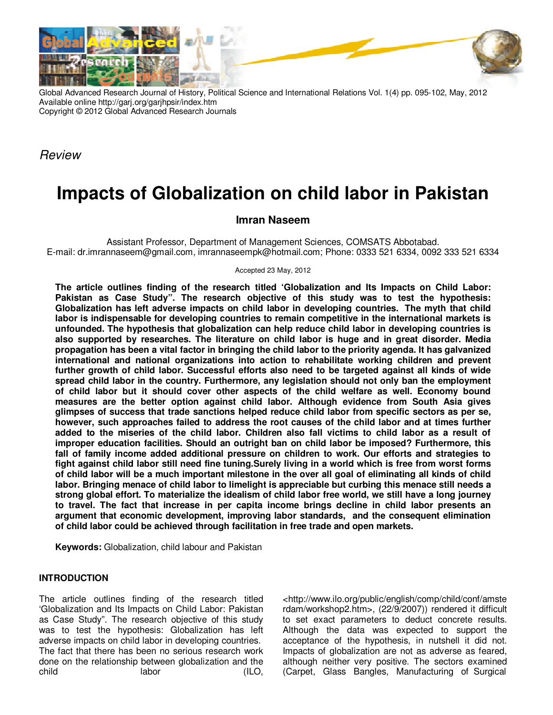

Global Advanced Research Journal of History, Political Science and International Relations Vol. 1(4) pp. 095-102, May, 2012 Available online http://garj.org/garjhpsir/index.htm Copyright © 2012 Global Advanced Research Journals

Review

# **Impacts of Globalization on child labor in Pakistan**

## **Imran Naseem**

Assistant Professor, Department of Management Sciences, COMSATS Abbotabad. E-mail: dr.imrannaseem@gmail.com, imrannaseempk@hotmail.com; Phone: 0333 521 6334, 0092 333 521 6334

Accepted 23 May, 2012

**The article outlines finding of the research titled 'Globalization and Its Impacts on Child Labor: Pakistan as Case Study". The research objective of this study was to test the hypothesis: Globalization has left adverse impacts on child labor in developing countries. The myth that child labor is indispensable for developing countries to remain competitive in the international markets is unfounded. The hypothesis that globalization can help reduce child labor in developing countries is also supported by researches. The literature on child labor is huge and in great disorder. Media propagation has been a vital factor in bringing the child labor to the priority agenda. It has galvanized international and national organizations into action to rehabilitate working children and prevent further growth of child labor. Successful efforts also need to be targeted against all kinds of wide spread child labor in the country. Furthermore, any legislation should not only ban the employment of child labor but it should cover other aspects of the child welfare as well. Economy bound measures are the better option against child labor. Although evidence from South Asia gives glimpses of success that trade sanctions helped reduce child labor from specific sectors as per se, however, such approaches failed to address the root causes of the child labor and at times further added to the miseries of the child labor. Children also fall victims to child labor as a result of improper education facilities. Should an outright ban on child labor be imposed? Furthermore, this fall of family income added additional pressure on children to work. Our efforts and strategies to fight against child labor still need fine tuning.Surely living in a world which is free from worst forms of child labor will be a much important milestone in the over all goal of eliminating all kinds of child labor. Bringing menace of child labor to limelight is appreciable but curbing this menace still needs a strong global effort. To materialize the idealism of child labor free world, we still have a long journey to travel. The fact that increase in per capita income brings decline in child labor presents an argument that economic development, improving labor standards, and the consequent elimination of child labor could be achieved through facilitation in free trade and open markets.** 

**Keywords:** Globalization, child labour and Pakistan

## **INTRODUCTION**

The article outlines finding of the research titled 'Globalization and Its Impacts on Child Labor: Pakistan as Case Study". The research objective of this study was to test the hypothesis: Globalization has left adverse impacts on child labor in developing countries. The fact that there has been no serious research work done on the relationship between globalization and the child labor (ILO, <http://www.ilo.org/public/english/comp/child/conf/amste rdam/workshop2.htm>, (22/9/2007)) rendered it difficult to set exact parameters to deduct concrete results. Although the data was expected to support the acceptance of the hypothesis, in nutshell it did not. Impacts of globalization are not as adverse as feared, although neither very positive. The sectors examined (Carpet, Glass Bangles, Manufacturing of Surgical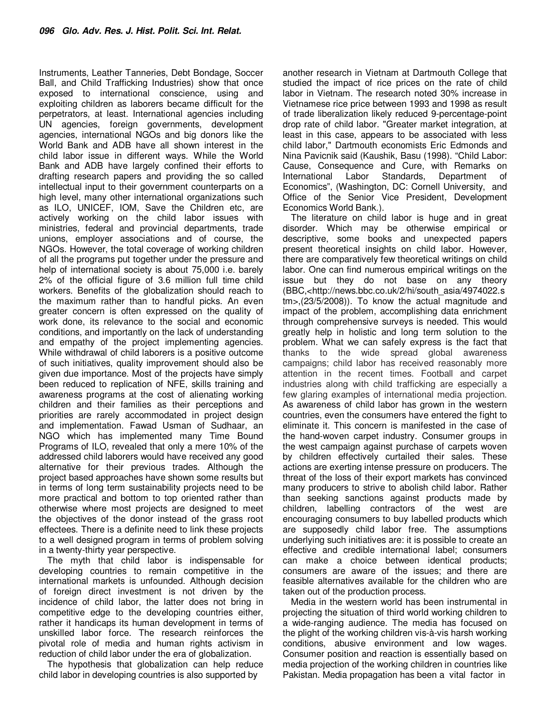Instruments, Leather Tanneries, Debt Bondage, Soccer Ball, and Child Trafficking Industries) show that once exposed to international conscience, using and exploiting children as laborers became difficult for the perpetrators, at least. International agencies including UN agencies, foreign governments, development agencies, international NGOs and big donors like the World Bank and ADB have all shown interest in the child labor issue in different ways. While the World Bank and ADB have largely confined their efforts to drafting research papers and providing the so called intellectual input to their government counterparts on a high level, many other international organizations such as ILO, UNICEF, IOM, Save the Children etc, are actively working on the child labor issues with ministries, federal and provincial departments, trade unions, employer associations and of course, the NGOs. However, the total coverage of working children of all the programs put together under the pressure and help of international society is about 75,000 i.e. barely 2% of the official figure of 3.6 million full time child workers. Benefits of the globalization should reach to the maximum rather than to handful picks. An even greater concern is often expressed on the quality of work done, its relevance to the social and economic conditions, and importantly on the lack of understanding and empathy of the project implementing agencies. While withdrawal of child laborers is a positive outcome of such initiatives, quality improvement should also be given due importance. Most of the projects have simply been reduced to replication of NFE, skills training and awareness programs at the cost of alienating working children and their families as their perceptions and priorities are rarely accommodated in project design and implementation. Fawad Usman of Sudhaar, an NGO which has implemented many Time Bound Programs of ILO, revealed that only a mere 10% of the addressed child laborers would have received any good alternative for their previous trades. Although the project based approaches have shown some results but in terms of long term sustainability projects need to be more practical and bottom to top oriented rather than otherwise where most projects are designed to meet the objectives of the donor instead of the grass root effectees. There is a definite need to link these projects to a well designed program in terms of problem solving in a twenty-thirty year perspective.

The myth that child labor is indispensable for developing countries to remain competitive in the international markets is unfounded. Although decision of foreign direct investment is not driven by the incidence of child labor, the latter does not bring in competitive edge to the developing countries either, rather it handicaps its human development in terms of unskilled labor force. The research reinforces the pivotal role of media and human rights activism in reduction of child labor under the era of globalization.

The hypothesis that globalization can help reduce child labor in developing countries is also supported by

another research in Vietnam at Dartmouth College that studied the impact of rice prices on the rate of child labor in Vietnam. The research noted 30% increase in Vietnamese rice price between 1993 and 1998 as result of trade liberalization likely reduced 9-percentage-point drop rate of child labor. "Greater market integration, at least in this case, appears to be associated with less child labor," Dartmouth economists Eric Edmonds and Nina Pavicnik said (Kaushik, Basu (1998). "Child Labor: Cause, Consequence and Cure, with Remarks on International Labor Standards, Department of Economics", (Washington, DC: Cornell University, and Office of the Senior Vice President, Development Economics World Bank.).

The literature on child labor is huge and in great disorder. Which may be otherwise empirical or descriptive, some books and unexpected papers present theoretical insights on child labor. However, there are comparatively few theoretical writings on child labor. One can find numerous empirical writings on the issue but they do not base on any theory (BBC,<http://news.bbc.co.uk/2/hi/south\_asia/4974022.s tm>,(23/5/2008)). To know the actual magnitude and impact of the problem, accomplishing data enrichment through comprehensive surveys is needed. This would greatly help in holistic and long term solution to the problem. What we can safely express is the fact that thanks to the wide spread global awareness campaigns; child labor has received reasonably more attention in the recent times. Football and carpet industries along with child trafficking are especially a few glaring examples of international media projection. As awareness of child labor has grown in the western countries, even the consumers have entered the fight to eliminate it. This concern is manifested in the case of the hand-woven carpet industry. Consumer groups in the west campaign against purchase of carpets woven by children effectively curtailed their sales. These actions are exerting intense pressure on producers. The threat of the loss of their export markets has convinced many producers to strive to abolish child labor. Rather than seeking sanctions against products made by children, labelling contractors of the west are encouraging consumers to buy labelled products which are supposedly child labor free. The assumptions underlying such initiatives are: it is possible to create an effective and credible international label; consumers can make a choice between identical products; consumers are aware of the issues; and there are feasible alternatives available for the children who are taken out of the production process.

Media in the western world has been instrumental in projecting the situation of third world working children to a wide-ranging audience. The media has focused on the plight of the working children vis-à-vis harsh working conditions, abusive environment and low wages. Consumer position and reaction is essentially based on media projection of the working children in countries like Pakistan. Media propagation has been a vital factor in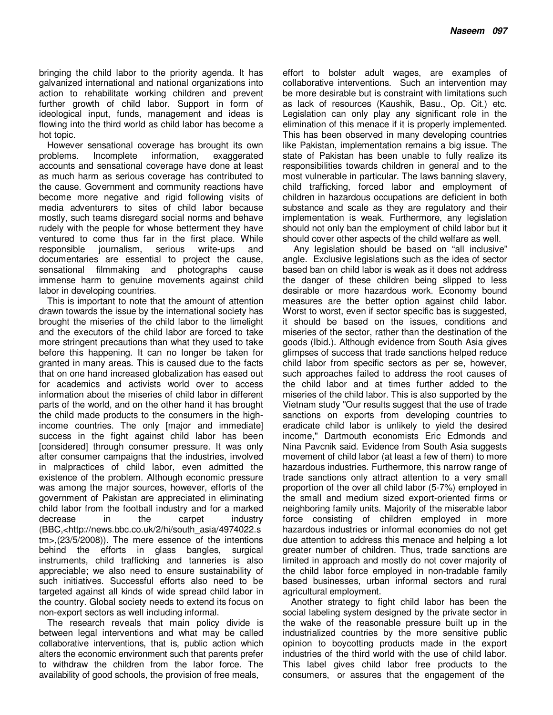bringing the child labor to the priority agenda. It has galvanized international and national organizations into action to rehabilitate working children and prevent further growth of child labor. Support in form of ideological input, funds, management and ideas is flowing into the third world as child labor has become a hot topic.

However sensational coverage has brought its own problems. Incomplete information, exaggerated accounts and sensational coverage have done at least as much harm as serious coverage has contributed to the cause. Government and community reactions have become more negative and rigid following visits of media adventurers to sites of child labor because mostly, such teams disregard social norms and behave rudely with the people for whose betterment they have ventured to come thus far in the first place. While responsible journalism, serious write-ups and documentaries are essential to project the cause, sensational filmmaking and photographs cause immense harm to genuine movements against child labor in developing countries.

This is important to note that the amount of attention drawn towards the issue by the international society has brought the miseries of the child labor to the limelight and the executors of the child labor are forced to take more stringent precautions than what they used to take before this happening. It can no longer be taken for granted in many areas. This is caused due to the facts that on one hand increased globalization has eased out for academics and activists world over to access information about the miseries of child labor in different parts of the world, and on the other hand it has brought the child made products to the consumers in the highincome countries. The only [major and immediate] success in the fight against child labor has been [considered] through consumer pressure. It was only after consumer campaigns that the industries, involved in malpractices of child labor, even admitted the existence of the problem. Although economic pressure was among the major sources, however, efforts of the government of Pakistan are appreciated in eliminating child labor from the football industry and for a marked decrease in the carpet industry (BBC,<http://news.bbc.co.uk/2/hi/south\_asia/4974022.s tm>,(23/5/2008)). The mere essence of the intentions behind the efforts in glass bangles, surgical instruments, child trafficking and tanneries is also appreciable; we also need to ensure sustainability of such initiatives. Successful efforts also need to be targeted against all kinds of wide spread child labor in the country. Global society needs to extend its focus on non-export sectors as well including informal.

The research reveals that main policy divide is between legal interventions and what may be called collaborative interventions, that is, public action which alters the economic environment such that parents prefer to withdraw the children from the labor force. The availability of good schools, the provision of free meals,

effort to bolster adult wages, are examples of collaborative interventions. Such an intervention may be more desirable but is constraint with limitations such as lack of resources (Kaushik, Basu., Op. Cit.) etc. Legislation can only play any significant role in the elimination of this menace if it is properly implemented. This has been observed in many developing countries like Pakistan, implementation remains a big issue. The state of Pakistan has been unable to fully realize its responsibilities towards children in general and to the most vulnerable in particular. The laws banning slavery, child trafficking, forced labor and employment of children in hazardous occupations are deficient in both substance and scale as they are regulatory and their implementation is weak. Furthermore, any legislation should not only ban the employment of child labor but it should cover other aspects of the child welfare as well.

Any legislation should be based on "all inclusive" angle. Exclusive legislations such as the idea of sector based ban on child labor is weak as it does not address the danger of these children being slipped to less desirable or more hazardous work. Economy bound measures are the better option against child labor. Worst to worst, even if sector specific bas is suggested, it should be based on the issues, conditions and miseries of the sector, rather than the destination of the goods (Ibid.). Although evidence from South Asia gives glimpses of success that trade sanctions helped reduce child labor from specific sectors as per se, however, such approaches failed to address the root causes of the child labor and at times further added to the miseries of the child labor. This is also supported by the Vietnam study "Our results suggest that the use of trade sanctions on exports from developing countries to eradicate child labor is unlikely to yield the desired income," Dartmouth economists Eric Edmonds and Nina Pavcnik said. Evidence from South Asia suggests movement of child labor (at least a few of them) to more hazardous industries. Furthermore, this narrow range of trade sanctions only attract attention to a very small proportion of the over all child labor (5-7%) employed in the small and medium sized export-oriented firms or neighboring family units. Majority of the miserable labor force consisting of children employed in more hazardous industries or informal economies do not get due attention to address this menace and helping a lot greater number of children. Thus, trade sanctions are limited in approach and mostly do not cover majority of the child labor force employed in non-tradable family based businesses, urban informal sectors and rural agricultural employment.

Another strategy to fight child labor has been the social labeling system designed by the private sector in the wake of the reasonable pressure built up in the industrialized countries by the more sensitive public opinion to boycotting products made in the export industries of the third world with the use of child labor. This label gives child labor free products to the consumers, or assures that the engagement of the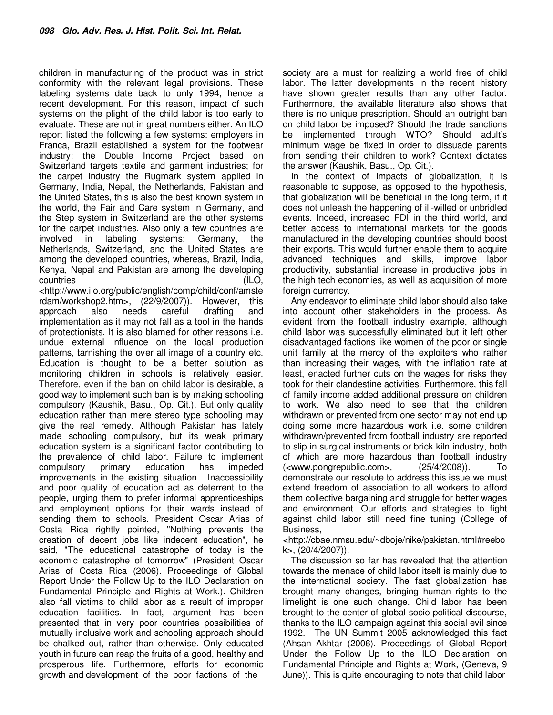children in manufacturing of the product was in strict conformity with the relevant legal provisions. These labeling systems date back to only 1994, hence a recent development. For this reason, impact of such systems on the plight of the child labor is too early to evaluate. These are not in great numbers either. An ILO report listed the following a few systems: employers in Franca, Brazil established a system for the footwear industry; the Double Income Project based on Switzerland targets textile and garment industries; for the carpet industry the Rugmark system applied in Germany, India, Nepal, the Netherlands, Pakistan and the United States, this is also the best known system in the world, the Fair and Care system in Germany, and the Step system in Switzerland are the other systems for the carpet industries. Also only a few countries are involved in labeling systems: Germany, the Netherlands, Switzerland, and the United States are among the developed countries, whereas, Brazil, India, Kenya, Nepal and Pakistan are among the developing countries (ILO, <http://www.ilo.org/public/english/comp/child/conf/amste rdam/workshop2.htm>, (22/9/2007)). However, this approach also needs careful drafting and implementation as it may not fall as a tool in the hands of protectionists. It is also blamed for other reasons i.e. undue external influence on the local production patterns, tarnishing the over all image of a country etc. Education is thought to be a better solution as monitoring children in schools is relatively easier. Therefore, even if the ban on child labor is desirable, a good way to implement such ban is by making schooling compulsory (Kaushik, Basu., Op. Cit.). But only quality education rather than mere stereo type schooling may give the real remedy. Although Pakistan has lately made schooling compulsory, but its weak primary education system is a significant factor contributing to the prevalence of child labor. Failure to implement compulsory primary education has impeded improvements in the existing situation. Inaccessibility and poor quality of education act as deterrent to the people, urging them to prefer informal apprenticeships and employment options for their wards instead of sending them to schools. President Oscar Arias of Costa Rica rightly pointed, "Nothing prevents the creation of decent jobs like indecent education", he

said, "The educational catastrophe of today is the economic catastrophe of tomorrow" (President Oscar Arias of Costa Rica (2006). Proceedings of Global Report Under the Follow Up to the ILO Declaration on Fundamental Principle and Rights at Work.). Children also fall victims to child labor as a result of improper education facilities. In fact, argument has been presented that in very poor countries possibilities of mutually inclusive work and schooling approach should be chalked out, rather than otherwise. Only educated youth in future can reap the fruits of a good, healthy and prosperous life. Furthermore, efforts for economic growth and development of the poor factions of the

society are a must for realizing a world free of child labor. The latter developments in the recent history have shown greater results than any other factor. Furthermore, the available literature also shows that there is no unique prescription. Should an outright ban on child labor be imposed? Should the trade sanctions be implemented through WTO? Should adult's minimum wage be fixed in order to dissuade parents from sending their children to work? Context dictates the answer (Kaushik, Basu., Op. Cit.).

In the context of impacts of globalization, it is reasonable to suppose, as opposed to the hypothesis, that globalization will be beneficial in the long term, if it does not unleash the happening of ill-willed or unbridled events. Indeed, increased FDI in the third world, and better access to international markets for the goods manufactured in the developing countries should boost their exports. This would further enable them to acquire advanced techniques and skills, improve labor productivity, substantial increase in productive jobs in the high tech economies, as well as acquisition of more foreign currency.

Any endeavor to eliminate child labor should also take into account other stakeholders in the process. As evident from the football industry example, although child labor was successfully eliminated but it left other disadvantaged factions like women of the poor or single unit family at the mercy of the exploiters who rather than increasing their wages, with the inflation rate at least, enacted further cuts on the wages for risks they took for their clandestine activities. Furthermore, this fall of family income added additional pressure on children to work. We also need to see that the children withdrawn or prevented from one sector may not end up doing some more hazardous work i.e. some children withdrawn/prevented from football industry are reported to slip in surgical instruments or brick kiln industry, both of which are more hazardous than football industry (<www.pongrepublic.com>, (25/4/2008)). To demonstrate our resolute to address this issue we must extend freedom of association to all workers to afford them collective bargaining and struggle for better wages and environment. Our efforts and strategies to fight against child labor still need fine tuning (College of Business,

<http://cbae.nmsu.edu/~dboje/nike/pakistan.html#reebo k>, (20/4/2007)).

The discussion so far has revealed that the attention towards the menace of child labor itself is mainly due to the international society. The fast globalization has brought many changes, bringing human rights to the limelight is one such change. Child labor has been brought to the center of global socio-political discourse, thanks to the ILO campaign against this social evil since 1992. The UN Summit 2005 acknowledged this fact (Ahsan Akhtar (2006). Proceedings of Global Report Under the Follow Up to the ILO Declaration on Fundamental Principle and Rights at Work, (Geneva, 9 June)). This is quite encouraging to note that child labor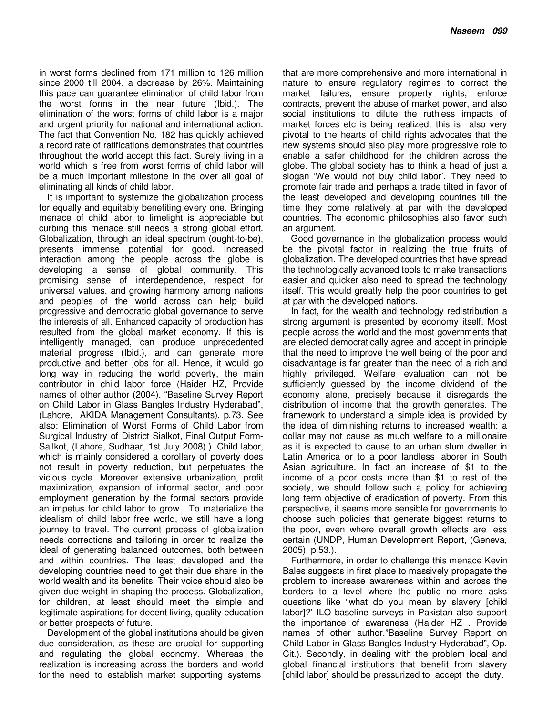in worst forms declined from 171 million to 126 million since 2000 till 2004, a decrease by 26%. Maintaining this pace can guarantee elimination of child labor from the worst forms in the near future (Ibid.). The elimination of the worst forms of child labor is a major and urgent priority for national and international action. The fact that Convention No. 182 has quickly achieved a record rate of ratifications demonstrates that countries throughout the world accept this fact. Surely living in a world which is free from worst forms of child labor will be a much important milestone in the over all goal of eliminating all kinds of child labor.

It is important to systemize the globalization process for equally and equitably benefiting every one. Bringing menace of child labor to limelight is appreciable but curbing this menace still needs a strong global effort. Globalization, through an ideal spectrum (ought-to-be), presents immense potential for good. Increased interaction among the people across the globe is developing a sense of global community. This promising sense of interdependence, respect for universal values, and growing harmony among nations and peoples of the world across can help build progressive and democratic global governance to serve the interests of all. Enhanced capacity of production has resulted from the global market economy. If this is intelligently managed, can produce unprecedented material progress (Ibid.), and can generate more productive and better jobs for all. Hence, it would go long way in reducing the world poverty, the main contributor in child labor force (Haider HZ, Provide names of other author (2004). "Baseline Survey Report on Child Labor in Glass Bangles Industry Hyderabad", (Lahore, AKIDA Management Consultants), p.73. See also: Elimination of Worst Forms of Child Labor from Surgical Industry of District Sialkot, Final Output Form-Sailkot, (Lahore, Sudhaar, 1st July 2008).). Child labor, which is mainly considered a corollary of poverty does not result in poverty reduction, but perpetuates the vicious cycle. Moreover extensive urbanization, profit maximization, expansion of informal sector, and poor employment generation by the formal sectors provide an impetus for child labor to grow. To materialize the idealism of child labor free world, we still have a long journey to travel. The current process of globalization needs corrections and tailoring in order to realize the ideal of generating balanced outcomes, both between and within countries. The least developed and the developing countries need to get their due share in the world wealth and its benefits. Their voice should also be given due weight in shaping the process. Globalization, for children, at least should meet the simple and legitimate aspirations for decent living, quality education or better prospects of future.

Development of the global institutions should be given due consideration, as these are crucial for supporting and regulating the global economy. Whereas the realization is increasing across the borders and world for the need to establish market supporting systems

that are more comprehensive and more international in nature to ensure regulatory regimes to correct the market failures, ensure property rights, enforce contracts, prevent the abuse of market power, and also social institutions to dilute the ruthless impacts of market forces etc is being realized, this is also very pivotal to the hearts of child rights advocates that the new systems should also play more progressive role to enable a safer childhood for the children across the globe. The global society has to think a head of just a slogan 'We would not buy child labor'. They need to promote fair trade and perhaps a trade tilted in favor of the least developed and developing countries till the time they come relatively at par with the developed countries. The economic philosophies also favor such an argument.

Good governance in the globalization process would be the pivotal factor in realizing the true fruits of globalization. The developed countries that have spread the technologically advanced tools to make transactions easier and quicker also need to spread the technology itself. This would greatly help the poor countries to get at par with the developed nations.

In fact, for the wealth and technology redistribution a strong argument is presented by economy itself. Most people across the world and the most governments that are elected democratically agree and accept in principle that the need to improve the well being of the poor and disadvantage is far greater than the need of a rich and highly privileged. Welfare evaluation can not be sufficiently guessed by the income dividend of the economy alone, precisely because it disregards the distribution of income that the growth generates. The framework to understand a simple idea is provided by the idea of diminishing returns to increased wealth: a dollar may not cause as much welfare to a millionaire as it is expected to cause to an urban slum dweller in Latin America or to a poor landless laborer in South Asian agriculture. In fact an increase of \$1 to the income of a poor costs more than \$1 to rest of the society, we should follow such a policy for achieving long term objective of eradication of poverty. From this perspective, it seems more sensible for governments to choose such policies that generate biggest returns to the poor, even where overall growth effects are less certain (UNDP, Human Development Report, (Geneva, 2005), p.53.).

Furthermore, in order to challenge this menace Kevin Bales suggests in first place to massively propagate the problem to increase awareness within and across the borders to a level where the public no more asks questions like "what do you mean by slavery [child labor]?' ILO baseline surveys in Pakistan also support the importance of awareness (Haider HZ . Provide names of other author."Baseline Survey Report on Child Labor in Glass Bangles Industry Hyderabad", Op. Cit.). Secondly, in dealing with the problem local and global financial institutions that benefit from slavery [child labor] should be pressurized to accept the duty.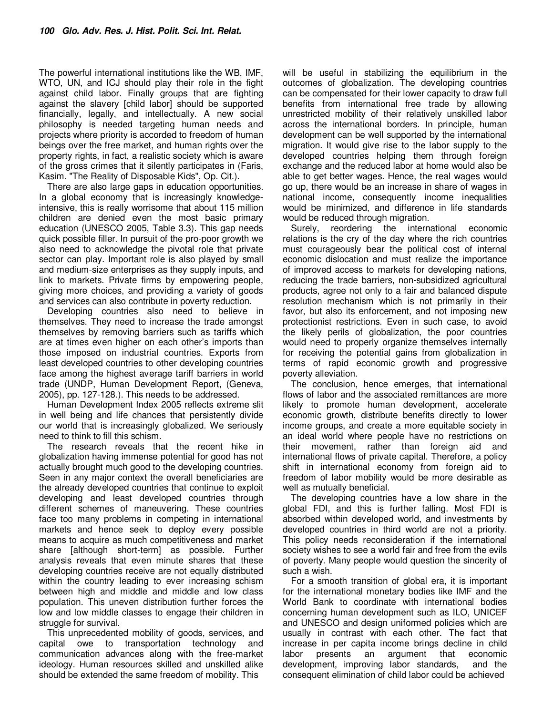The powerful international institutions like the WB, IMF, WTO, UN, and ICJ should play their role in the fight against child labor. Finally groups that are fighting against the slavery [child labor] should be supported financially, legally, and intellectually. A new social philosophy is needed targeting human needs and projects where priority is accorded to freedom of human beings over the free market, and human rights over the property rights, in fact, a realistic society which is aware of the gross crimes that it silently participates in (Faris, Kasim. "The Reality of Disposable Kids", Op. Cit.).

There are also large gaps in education opportunities. In a global economy that is increasingly knowledgeintensive, this is really worrisome that about 115 million children are denied even the most basic primary education (UNESCO 2005, Table 3.3). This gap needs quick possible filler. In pursuit of the pro-poor growth we also need to acknowledge the pivotal role that private sector can play. Important role is also played by small and medium-size enterprises as they supply inputs, and link to markets. Private firms by empowering people, giving more choices, and providing a variety of goods and services can also contribute in poverty reduction.

Developing countries also need to believe in themselves. They need to increase the trade amongst themselves by removing barriers such as tariffs which are at times even higher on each other's imports than those imposed on industrial countries. Exports from least developed countries to other developing countries face among the highest average tariff barriers in world trade (UNDP, Human Development Report, (Geneva, 2005), pp. 127-128.). This needs to be addressed.

Human Development Index 2005 reflects extreme slit in well being and life chances that persistently divide our world that is increasingly globalized. We seriously need to think to fill this schism.

The research reveals that the recent hike in globalization having immense potential for good has not actually brought much good to the developing countries. Seen in any major context the overall beneficiaries are the already developed countries that continue to exploit developing and least developed countries through different schemes of maneuvering. These countries face too many problems in competing in international markets and hence seek to deploy every possible means to acquire as much competitiveness and market share [although short-term] as possible. Further analysis reveals that even minute shares that these developing countries receive are not equally distributed within the country leading to ever increasing schism between high and middle and middle and low class population. This uneven distribution further forces the low and low middle classes to engage their children in struggle for survival.

This unprecedented mobility of goods, services, and capital owe to transportation technology and communication advances along with the free-market ideology. Human resources skilled and unskilled alike should be extended the same freedom of mobility. This

will be useful in stabilizing the equilibrium in the outcomes of globalization. The developing countries can be compensated for their lower capacity to draw full benefits from international free trade by allowing unrestricted mobility of their relatively unskilled labor across the international borders. In principle, human development can be well supported by the international migration. It would give rise to the labor supply to the developed countries helping them through foreign exchange and the reduced labor at home would also be able to get better wages. Hence, the real wages would go up, there would be an increase in share of wages in national income, consequently income inequalities would be minimized, and difference in life standards would be reduced through migration.

Surely, reordering the international economic relations is the cry of the day where the rich countries must courageously bear the political cost of internal economic dislocation and must realize the importance of improved access to markets for developing nations, reducing the trade barriers, non-subsidized agricultural products, agree not only to a fair and balanced dispute resolution mechanism which is not primarily in their favor, but also its enforcement, and not imposing new protectionist restrictions. Even in such case, to avoid the likely perils of globalization, the poor countries would need to properly organize themselves internally for receiving the potential gains from globalization in terms of rapid economic growth and progressive poverty alleviation.

The conclusion, hence emerges, that international flows of labor and the associated remittances are more likely to promote human development, accelerate economic growth, distribute benefits directly to lower income groups, and create a more equitable society in an ideal world where people have no restrictions on their movement, rather than foreign aid and international flows of private capital. Therefore, a policy shift in international economy from foreign aid to freedom of labor mobility would be more desirable as well as mutually beneficial.

The developing countries have a low share in the global FDI, and this is further falling. Most FDI is absorbed within developed world, and investments by developed countries in third world are not a priority. This policy needs reconsideration if the international society wishes to see a world fair and free from the evils of poverty. Many people would question the sincerity of such a wish.

For a smooth transition of global era, it is important for the international monetary bodies like IMF and the World Bank to coordinate with international bodies concerning human development such as ILO, UNICEF and UNESCO and design uniformed policies which are usually in contrast with each other. The fact that increase in per capita income brings decline in child labor presents an argument that economic development, improving labor standards, and the consequent elimination of child labor could be achieved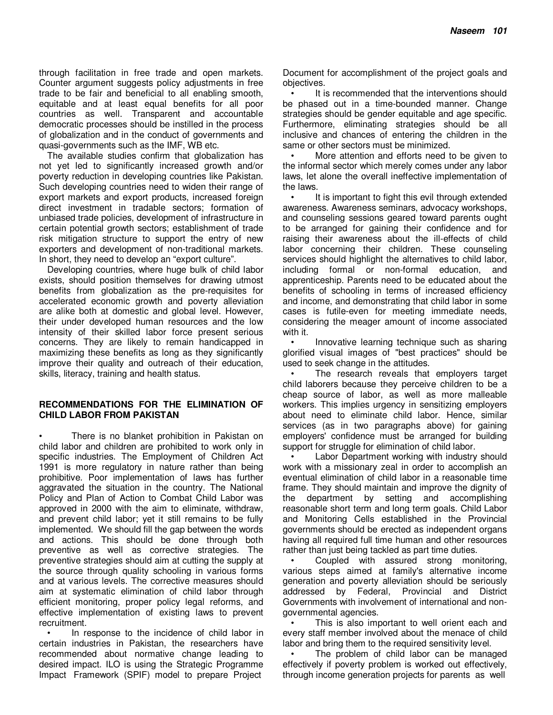through facilitation in free trade and open markets. Counter argument suggests policy adjustments in free trade to be fair and beneficial to all enabling smooth, equitable and at least equal benefits for all poor countries as well. Transparent and accountable democratic processes should be instilled in the process of globalization and in the conduct of governments and quasi-governments such as the IMF, WB etc.

The available studies confirm that globalization has not yet led to significantly increased growth and/or poverty reduction in developing countries like Pakistan. Such developing countries need to widen their range of export markets and export products, increased foreign direct investment in tradable sectors; formation of unbiased trade policies, development of infrastructure in certain potential growth sectors; establishment of trade risk mitigation structure to support the entry of new exporters and development of non-traditional markets. In short, they need to develop an "export culture".

Developing countries, where huge bulk of child labor exists, should position themselves for drawing utmost benefits from globalization as the pre-requisites for accelerated economic growth and poverty alleviation are alike both at domestic and global level. However, their under developed human resources and the low intensity of their skilled labor force present serious concerns. They are likely to remain handicapped in maximizing these benefits as long as they significantly improve their quality and outreach of their education, skills, literacy, training and health status.

### **RECOMMENDATIONS FOR THE ELIMINATION OF CHILD LABOR FROM PAKISTAN**

There is no blanket prohibition in Pakistan on child labor and children are prohibited to work only in specific industries. The Employment of Children Act 1991 is more regulatory in nature rather than being prohibitive. Poor implementation of laws has further aggravated the situation in the country. The National Policy and Plan of Action to Combat Child Labor was approved in 2000 with the aim to eliminate, withdraw, and prevent child labor; yet it still remains to be fully implemented. We should fill the gap between the words and actions. This should be done through both preventive as well as corrective strategies. The preventive strategies should aim at cutting the supply at the source through quality schooling in various forms and at various levels. The corrective measures should aim at systematic elimination of child labor through efficient monitoring, proper policy legal reforms, and effective implementation of existing laws to prevent recruitment.

• In response to the incidence of child labor in certain industries in Pakistan, the researchers have recommended about normative change leading to desired impact. ILO is using the Strategic Programme Impact Framework (SPIF) model to prepare Project

Document for accomplishment of the project goals and objectives.

It is recommended that the interventions should be phased out in a time-bounded manner. Change strategies should be gender equitable and age specific. Furthermore, eliminating strategies should be all inclusive and chances of entering the children in the same or other sectors must be minimized.

• More attention and efforts need to be given to the informal sector which merely comes under any labor laws, let alone the overall ineffective implementation of the laws.

• It is important to fight this evil through extended awareness. Awareness seminars, advocacy workshops, and counseling sessions geared toward parents ought to be arranged for gaining their confidence and for raising their awareness about the ill-effects of child labor concerning their children. These counseling services should highlight the alternatives to child labor. including formal or non-formal education, and apprenticeship. Parents need to be educated about the benefits of schooling in terms of increased efficiency and income, and demonstrating that child labor in some cases is futile-even for meeting immediate needs, considering the meager amount of income associated with it.

Innovative learning technique such as sharing glorified visual images of "best practices" should be used to seek change in the attitudes.

The research reveals that employers target child laborers because they perceive children to be a cheap source of labor, as well as more malleable workers. This implies urgency in sensitizing employers about need to eliminate child labor. Hence, similar services (as in two paragraphs above) for gaining employers' confidence must be arranged for building support for struggle for elimination of child labor.

Labor Department working with industry should work with a missionary zeal in order to accomplish an eventual elimination of child labor in a reasonable time frame. They should maintain and improve the dignity of the department by setting and accomplishing reasonable short term and long term goals. Child Labor and Monitoring Cells established in the Provincial governments should be erected as independent organs having all required full time human and other resources rather than just being tackled as part time duties.

• Coupled with assured strong monitoring, various steps aimed at family's alternative income generation and poverty alleviation should be seriously addressed by Federal, Provincial and District Governments with involvement of international and nongovernmental agencies.

This is also important to well orient each and every staff member involved about the menace of child labor and bring them to the required sensitivity level.

The problem of child labor can be managed effectively if poverty problem is worked out effectively, through income generation projects for parents as well